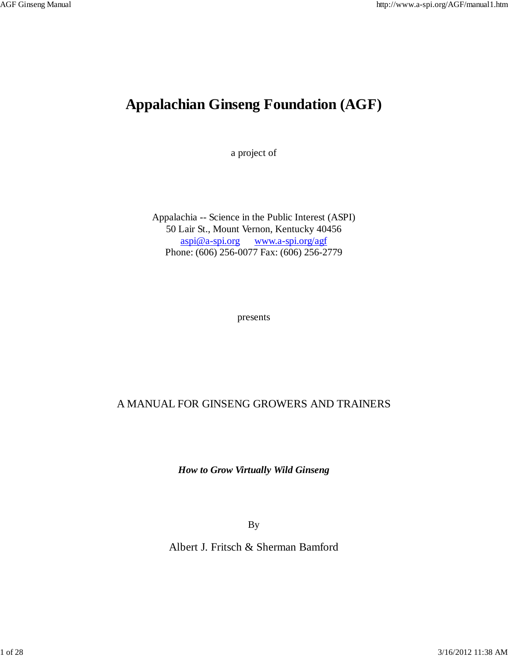# **Appalachian Ginseng Foundation (AGF)**

a project of

Appalachia -- Science in the Public Interest (ASPI) 50 Lair St., Mount Vernon, Kentucky 40456 aspi@a-spi.org www.a-spi.org/agf Phone: (606) 256-0077 Fax: (606) 256-2779

presents

# A MANUAL FOR GINSENG GROWERS AND TRAINERS

*How to Grow Virtually Wild Ginseng*

By

Albert J. Fritsch & Sherman Bamford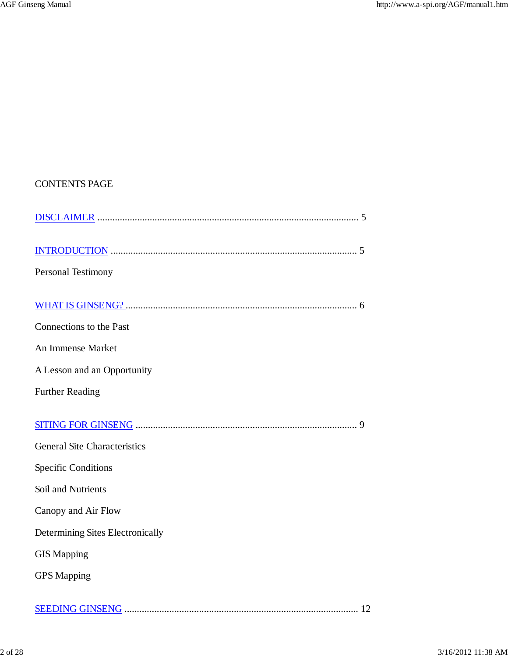# CONTENTS PAGE

| <b>Personal Testimony</b>           |  |
|-------------------------------------|--|
|                                     |  |
| Connections to the Past             |  |
| An Immense Market                   |  |
| A Lesson and an Opportunity         |  |
| <b>Further Reading</b>              |  |
|                                     |  |
| <b>General Site Characteristics</b> |  |
| <b>Specific Conditions</b>          |  |
| Soil and Nutrients                  |  |
| Canopy and Air Flow                 |  |
| Determining Sites Electronically    |  |
| <b>GIS Mapping</b>                  |  |
| <b>GPS</b> Mapping                  |  |
|                                     |  |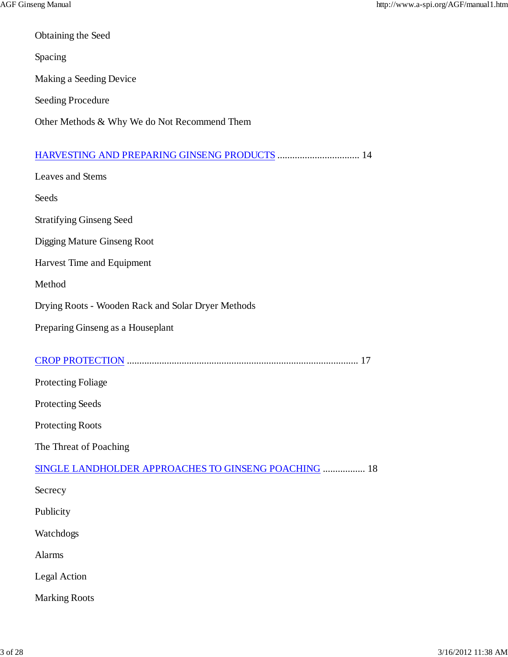| Obtaining the Seed                                   |
|------------------------------------------------------|
| Spacing                                              |
| Making a Seeding Device                              |
| <b>Seeding Procedure</b>                             |
| Other Methods & Why We do Not Recommend Them         |
| HARVESTING AND PREPARING GINSENG PRODUCTS  14        |
| Leaves and Stems                                     |
| Seeds                                                |
| <b>Stratifying Ginseng Seed</b>                      |
| Digging Mature Ginseng Root                          |
| Harvest Time and Equipment                           |
| Method                                               |
| Drying Roots - Wooden Rack and Solar Dryer Methods   |
|                                                      |
| Preparing Ginseng as a Houseplant                    |
|                                                      |
| <b>Protecting Foliage</b>                            |
| <b>Protecting Seeds</b>                              |
| <b>Protecting Roots</b>                              |
| The Threat of Poaching                               |
| SINGLE LANDHOLDER APPROACHES TO GINSENG POACHING  18 |
| Secrecy                                              |
| Publicity                                            |
| Watchdogs                                            |
| Alarms                                               |
| Legal Action                                         |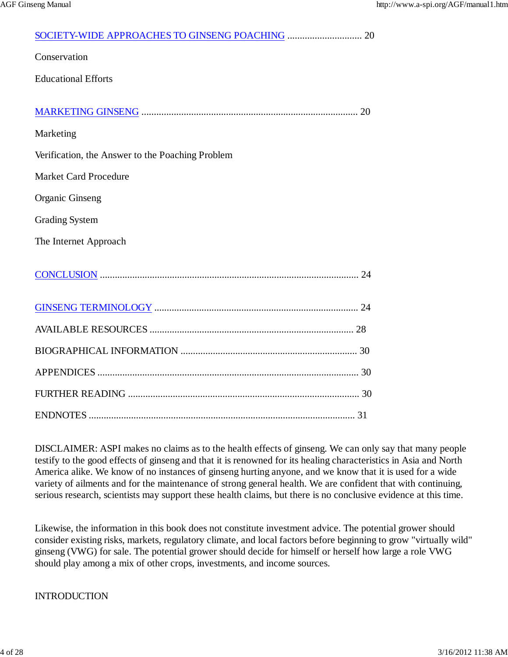DISCLAIMER: ASPI makes no claims as to the health effects of ginseng. We can only say that many people testify to the good effects of ginseng and that it is renowned for its healing characteristics in Asia and North America alike. We know of no instances of ginseng hurting anyone, and we know that it is used for a wide variety of ailments and for the maintenance of strong general health. We are confident that with continuing, serious research, scientists may support these health claims, but there is no conclusive evidence at this time.

Likewise, the information in this book does not constitute investment advice. The potential grower should consider existing risks, markets, regulatory climate, and local factors before beginning to grow "virtually wild" ginseng (VWG) for sale. The potential grower should decide for himself or herself how large a role VWG should play among a mix of other crops, investments, and income sources.

#### INTRODUCTION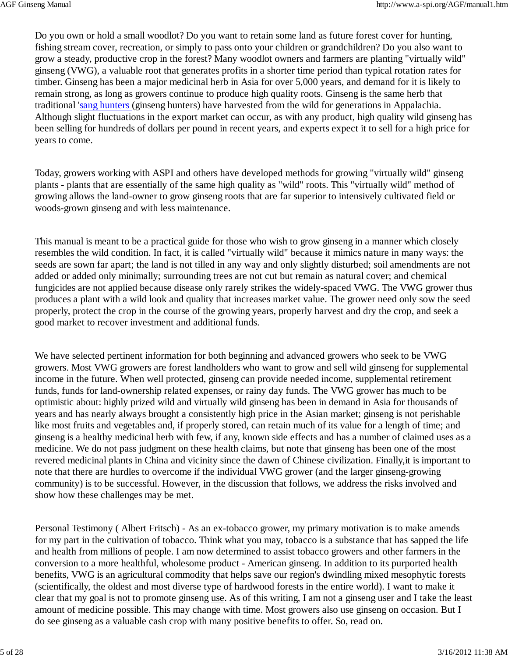Do you own or hold a small woodlot? Do you want to retain some land as future forest cover for hunting, fishing stream cover, recreation, or simply to pass onto your children or grandchildren? Do you also want to grow a steady, productive crop in the forest? Many woodlot owners and farmers are planting "virtually wild" ginseng (VWG), a valuable root that generates profits in a shorter time period than typical rotation rates for timber. Ginseng has been a major medicinal herb in Asia for over 5,000 years, and demand for it is likely to remain strong, as long as growers continue to produce high quality roots. Ginseng is the same herb that traditional 'sang hunters (ginseng hunters) have harvested from the wild for generations in Appalachia. Although slight fluctuations in the export market can occur, as with any product, high quality wild ginseng has been selling for hundreds of dollars per pound in recent years, and experts expect it to sell for a high price for years to come.

Today, growers working with ASPI and others have developed methods for growing "virtually wild" ginseng plants - plants that are essentially of the same high quality as "wild" roots. This "virtually wild" method of growing allows the land-owner to grow ginseng roots that are far superior to intensively cultivated field or woods-grown ginseng and with less maintenance.

This manual is meant to be a practical guide for those who wish to grow ginseng in a manner which closely resembles the wild condition. In fact, it is called "virtually wild" because it mimics nature in many ways: the seeds are sown far apart; the land is not tilled in any way and only slightly disturbed; soil amendments are not added or added only minimally; surrounding trees are not cut but remain as natural cover; and chemical fungicides are not applied because disease only rarely strikes the widely-spaced VWG. The VWG grower thus produces a plant with a wild look and quality that increases market value. The grower need only sow the seed properly, protect the crop in the course of the growing years, properly harvest and dry the crop, and seek a good market to recover investment and additional funds.

We have selected pertinent information for both beginning and advanced growers who seek to be VWG growers. Most VWG growers are forest landholders who want to grow and sell wild ginseng for supplemental income in the future. When well protected, ginseng can provide needed income, supplemental retirement funds, funds for land-ownership related expenses, or rainy day funds. The VWG grower has much to be optimistic about: highly prized wild and virtually wild ginseng has been in demand in Asia for thousands of years and has nearly always brought a consistently high price in the Asian market; ginseng is not perishable like most fruits and vegetables and, if properly stored, can retain much of its value for a length of time; and ginseng is a healthy medicinal herb with few, if any, known side effects and has a number of claimed uses as a medicine. We do not pass judgment on these health claims, but note that ginseng has been one of the most revered medicinal plants in China and vicinity since the dawn of Chinese civilization. Finally,it is important to note that there are hurdles to overcome if the individual VWG grower (and the larger ginseng-growing community) is to be successful. However, in the discussion that follows, we address the risks involved and show how these challenges may be met.

Personal Testimony ( Albert Fritsch) - As an ex-tobacco grower, my primary motivation is to make amends for my part in the cultivation of tobacco. Think what you may, tobacco is a substance that has sapped the life and health from millions of people. I am now determined to assist tobacco growers and other farmers in the conversion to a more healthful, wholesome product - American ginseng. In addition to its purported health benefits, VWG is an agricultural commodity that helps save our region's dwindling mixed mesophytic forests (scientifically, the oldest and most diverse type of hardwood forests in the entire world). I want to make it clear that my goal is not to promote ginseng use. As of this writing, I am not a ginseng user and I take the least amount of medicine possible. This may change with time. Most growers also use ginseng on occasion. But I do see ginseng as a valuable cash crop with many positive benefits to offer. So, read on.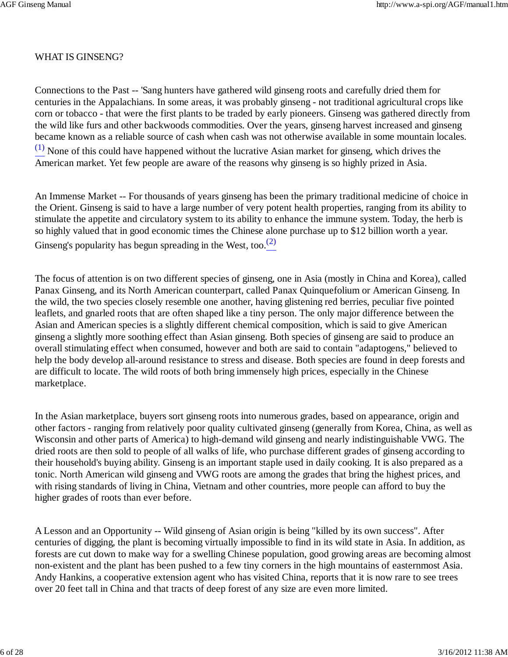#### WHAT IS GINSENG?

Connections to the Past -- 'Sang hunters have gathered wild ginseng roots and carefully dried them for centuries in the Appalachians. In some areas, it was probably ginseng - not traditional agricultural crops like corn or tobacco - that were the first plants to be traded by early pioneers. Ginseng was gathered directly from the wild like furs and other backwoods commodities. Over the years, ginseng harvest increased and ginseng became known as a reliable source of cash when cash was not otherwise available in some mountain locales.  $<sup>(1)</sup>$  None of this could have happened without the lucrative Asian market for ginseng, which drives the</sup> American market. Yet few people are aware of the reasons why ginseng is so highly prized in Asia.

An Immense Market -- For thousands of years ginseng has been the primary traditional medicine of choice in the Orient. Ginseng is said to have a large number of very potent health properties, ranging from its ability to stimulate the appetite and circulatory system to its ability to enhance the immune system. Today, the herb is so highly valued that in good economic times the Chinese alone purchase up to \$12 billion worth a year. Ginseng's popularity has begun spreading in the West, too. $(2)$ 

The focus of attention is on two different species of ginseng, one in Asia (mostly in China and Korea), called Panax Ginseng, and its North American counterpart, called Panax Quinquefolium or American Ginseng. In the wild, the two species closely resemble one another, having glistening red berries, peculiar five pointed leaflets, and gnarled roots that are often shaped like a tiny person. The only major difference between the Asian and American species is a slightly different chemical composition, which is said to give American ginseng a slightly more soothing effect than Asian ginseng. Both species of ginseng are said to produce an overall stimulating effect when consumed, however and both are said to contain "adaptogens," believed to help the body develop all-around resistance to stress and disease. Both species are found in deep forests and are difficult to locate. The wild roots of both bring immensely high prices, especially in the Chinese marketplace.

In the Asian marketplace, buyers sort ginseng roots into numerous grades, based on appearance, origin and other factors - ranging from relatively poor quality cultivated ginseng (generally from Korea, China, as well as Wisconsin and other parts of America) to high-demand wild ginseng and nearly indistinguishable VWG. The dried roots are then sold to people of all walks of life, who purchase different grades of ginseng according to their household's buying ability. Ginseng is an important staple used in daily cooking. It is also prepared as a tonic. North American wild ginseng and VWG roots are among the grades that bring the highest prices, and with rising standards of living in China, Vietnam and other countries, more people can afford to buy the higher grades of roots than ever before.

A Lesson and an Opportunity -- Wild ginseng of Asian origin is being "killed by its own success". After centuries of digging, the plant is becoming virtually impossible to find in its wild state in Asia. In addition, as forests are cut down to make way for a swelling Chinese population, good growing areas are becoming almost non-existent and the plant has been pushed to a few tiny corners in the high mountains of easternmost Asia. Andy Hankins, a cooperative extension agent who has visited China, reports that it is now rare to see trees over 20 feet tall in China and that tracts of deep forest of any size are even more limited.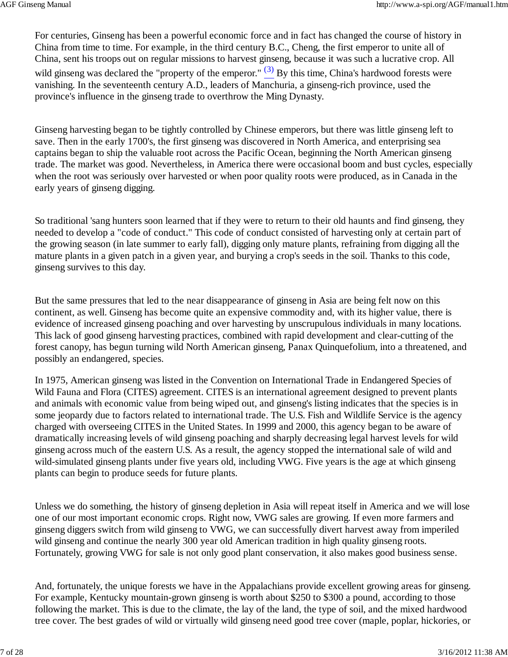For centuries, Ginseng has been a powerful economic force and in fact has changed the course of history in China from time to time. For example, in the third century B.C., Cheng, the first emperor to unite all of China, sent his troops out on regular missions to harvest ginseng, because it was such a lucrative crop. All wild ginseng was declared the "property of the emperor."  $(3)$  By this time, China's hardwood forests were vanishing. In the seventeenth century A.D., leaders of Manchuria, a ginseng-rich province, used the province's influence in the ginseng trade to overthrow the Ming Dynasty.

Ginseng harvesting began to be tightly controlled by Chinese emperors, but there was little ginseng left to save. Then in the early 1700's, the first ginseng was discovered in North America, and enterprising sea captains began to ship the valuable root across the Pacific Ocean, beginning the North American ginseng trade. The market was good. Nevertheless, in America there were occasional boom and bust cycles, especially when the root was seriously over harvested or when poor quality roots were produced, as in Canada in the early years of ginseng digging.

So traditional 'sang hunters soon learned that if they were to return to their old haunts and find ginseng, they needed to develop a "code of conduct." This code of conduct consisted of harvesting only at certain part of the growing season (in late summer to early fall), digging only mature plants, refraining from digging all the mature plants in a given patch in a given year, and burying a crop's seeds in the soil. Thanks to this code, ginseng survives to this day.

But the same pressures that led to the near disappearance of ginseng in Asia are being felt now on this continent, as well. Ginseng has become quite an expensive commodity and, with its higher value, there is evidence of increased ginseng poaching and over harvesting by unscrupulous individuals in many locations. This lack of good ginseng harvesting practices, combined with rapid development and clear-cutting of the forest canopy, has begun turning wild North American ginseng, Panax Quinquefolium, into a threatened, and possibly an endangered, species.

In 1975, American ginseng was listed in the Convention on International Trade in Endangered Species of Wild Fauna and Flora (CITES) agreement. CITES is an international agreement designed to prevent plants and animals with economic value from being wiped out, and ginseng's listing indicates that the species is in some jeopardy due to factors related to international trade. The U.S. Fish and Wildlife Service is the agency charged with overseeing CITES in the United States. In 1999 and 2000, this agency began to be aware of dramatically increasing levels of wild ginseng poaching and sharply decreasing legal harvest levels for wild ginseng across much of the eastern U.S. As a result, the agency stopped the international sale of wild and wild-simulated ginseng plants under five years old, including VWG. Five years is the age at which ginseng plants can begin to produce seeds for future plants.

Unless we do something, the history of ginseng depletion in Asia will repeat itself in America and we will lose one of our most important economic crops. Right now, VWG sales are growing. If even more farmers and ginseng diggers switch from wild ginseng to VWG, we can successfully divert harvest away from imperiled wild ginseng and continue the nearly 300 year old American tradition in high quality ginseng roots. Fortunately, growing VWG for sale is not only good plant conservation, it also makes good business sense.

And, fortunately, the unique forests we have in the Appalachians provide excellent growing areas for ginseng. For example, Kentucky mountain-grown ginseng is worth about \$250 to \$300 a pound, according to those following the market. This is due to the climate, the lay of the land, the type of soil, and the mixed hardwood tree cover. The best grades of wild or virtually wild ginseng need good tree cover (maple, poplar, hickories, or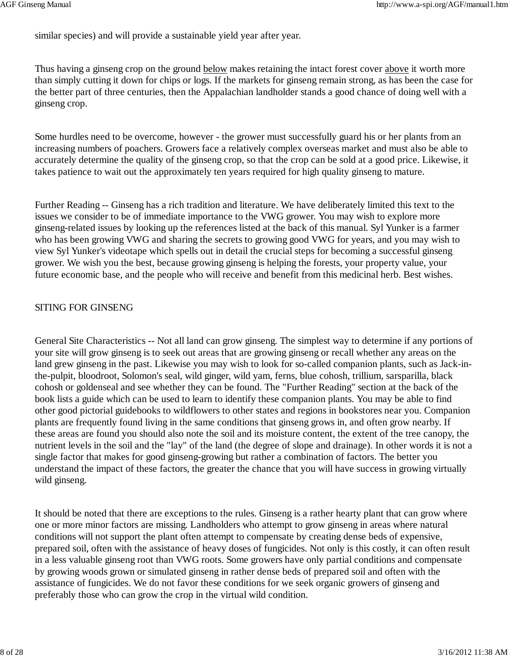similar species) and will provide a sustainable yield year after year.

Thus having a ginseng crop on the ground below makes retaining the intact forest cover above it worth more than simply cutting it down for chips or logs. If the markets for ginseng remain strong, as has been the case for the better part of three centuries, then the Appalachian landholder stands a good chance of doing well with a ginseng crop.

Some hurdles need to be overcome, however - the grower must successfully guard his or her plants from an increasing numbers of poachers. Growers face a relatively complex overseas market and must also be able to accurately determine the quality of the ginseng crop, so that the crop can be sold at a good price. Likewise, it takes patience to wait out the approximately ten years required for high quality ginseng to mature.

Further Reading -- Ginseng has a rich tradition and literature. We have deliberately limited this text to the issues we consider to be of immediate importance to the VWG grower. You may wish to explore more ginseng-related issues by looking up the references listed at the back of this manual. Syl Yunker is a farmer who has been growing VWG and sharing the secrets to growing good VWG for years, and you may wish to view Syl Yunker's videotape which spells out in detail the crucial steps for becoming a successful ginseng grower. We wish you the best, because growing ginseng is helping the forests, your property value, your future economic base, and the people who will receive and benefit from this medicinal herb. Best wishes.

# SITING FOR GINSENG

General Site Characteristics -- Not all land can grow ginseng. The simplest way to determine if any portions of your site will grow ginseng is to seek out areas that are growing ginseng or recall whether any areas on the land grew ginseng in the past. Likewise you may wish to look for so-called companion plants, such as Jack-inthe-pulpit, bloodroot, Solomon's seal, wild ginger, wild yam, ferns, blue cohosh, trillium, sarsparilla, black cohosh or goldenseal and see whether they can be found. The "Further Reading" section at the back of the book lists a guide which can be used to learn to identify these companion plants. You may be able to find other good pictorial guidebooks to wildflowers to other states and regions in bookstores near you. Companion plants are frequently found living in the same conditions that ginseng grows in, and often grow nearby. If these areas are found you should also note the soil and its moisture content, the extent of the tree canopy, the nutrient levels in the soil and the "lay" of the land (the degree of slope and drainage). In other words it is not a single factor that makes for good ginseng-growing but rather a combination of factors. The better you understand the impact of these factors, the greater the chance that you will have success in growing virtually wild ginseng.

It should be noted that there are exceptions to the rules. Ginseng is a rather hearty plant that can grow where one or more minor factors are missing. Landholders who attempt to grow ginseng in areas where natural conditions will not support the plant often attempt to compensate by creating dense beds of expensive, prepared soil, often with the assistance of heavy doses of fungicides. Not only is this costly, it can often result in a less valuable ginseng root than VWG roots. Some growers have only partial conditions and compensate by growing woods grown or simulated ginseng in rather dense beds of prepared soil and often with the assistance of fungicides. We do not favor these conditions for we seek organic growers of ginseng and preferably those who can grow the crop in the virtual wild condition.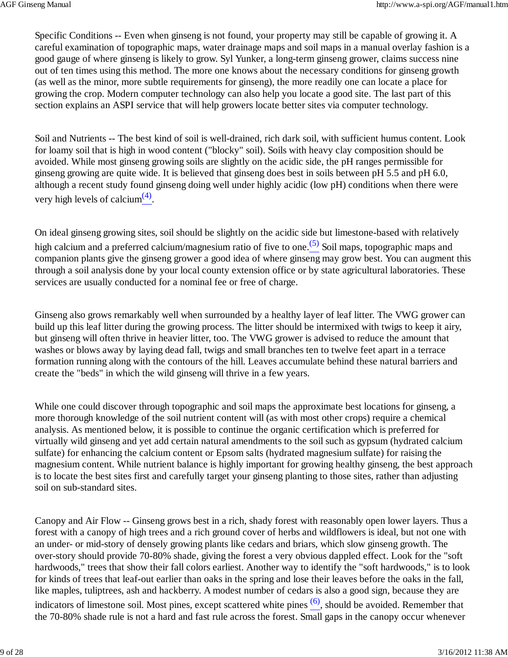Specific Conditions -- Even when ginseng is not found, your property may still be capable of growing it. A careful examination of topographic maps, water drainage maps and soil maps in a manual overlay fashion is a good gauge of where ginseng is likely to grow. Syl Yunker, a long-term ginseng grower, claims success nine out of ten times using this method. The more one knows about the necessary conditions for ginseng growth (as well as the minor, more subtle requirements for ginseng), the more readily one can locate a place for growing the crop. Modern computer technology can also help you locate a good site. The last part of this section explains an ASPI service that will help growers locate better sites via computer technology.

Soil and Nutrients -- The best kind of soil is well-drained, rich dark soil, with sufficient humus content. Look for loamy soil that is high in wood content ("blocky" soil). Soils with heavy clay composition should be avoided. While most ginseng growing soils are slightly on the acidic side, the pH ranges permissible for ginseng growing are quite wide. It is believed that ginseng does best in soils between pH 5.5 and pH 6.0, although a recent study found ginseng doing well under highly acidic (low pH) conditions when there were very high levels of calcium $\frac{(4)}{2}$ .

On ideal ginseng growing sites, soil should be slightly on the acidic side but limestone-based with relatively high calcium and a preferred calcium/magnesium ratio of five to one.<sup>(5)</sup> Soil maps, topographic maps and companion plants give the ginseng grower a good idea of where ginseng may grow best. You can augment this through a soil analysis done by your local county extension office or by state agricultural laboratories. These services are usually conducted for a nominal fee or free of charge.

Ginseng also grows remarkably well when surrounded by a healthy layer of leaf litter. The VWG grower can build up this leaf litter during the growing process. The litter should be intermixed with twigs to keep it airy, but ginseng will often thrive in heavier litter, too. The VWG grower is advised to reduce the amount that washes or blows away by laying dead fall, twigs and small branches ten to twelve feet apart in a terrace formation running along with the contours of the hill. Leaves accumulate behind these natural barriers and create the "beds" in which the wild ginseng will thrive in a few years.

While one could discover through topographic and soil maps the approximate best locations for ginseng, a more thorough knowledge of the soil nutrient content will (as with most other crops) require a chemical analysis. As mentioned below, it is possible to continue the organic certification which is preferred for virtually wild ginseng and yet add certain natural amendments to the soil such as gypsum (hydrated calcium sulfate) for enhancing the calcium content or Epsom salts (hydrated magnesium sulfate) for raising the magnesium content. While nutrient balance is highly important for growing healthy ginseng, the best approach is to locate the best sites first and carefully target your ginseng planting to those sites, rather than adjusting soil on sub-standard sites.

Canopy and Air Flow -- Ginseng grows best in a rich, shady forest with reasonably open lower layers. Thus a forest with a canopy of high trees and a rich ground cover of herbs and wildflowers is ideal, but not one with an under- or mid-story of densely growing plants like cedars and briars, which slow ginseng growth. The over-story should provide 70-80% shade, giving the forest a very obvious dappled effect. Look for the "soft hardwoods," trees that show their fall colors earliest. Another way to identify the "soft hardwoods," is to look for kinds of trees that leaf-out earlier than oaks in the spring and lose their leaves before the oaks in the fall, like maples, tuliptrees, ash and hackberry. A modest number of cedars is also a good sign, because they are indicators of limestone soil. Most pines, except scattered white pines  $\frac{(6)}{2}$ , should be avoided. Remember that the 70-80% shade rule is not a hard and fast rule across the forest. Small gaps in the canopy occur whenever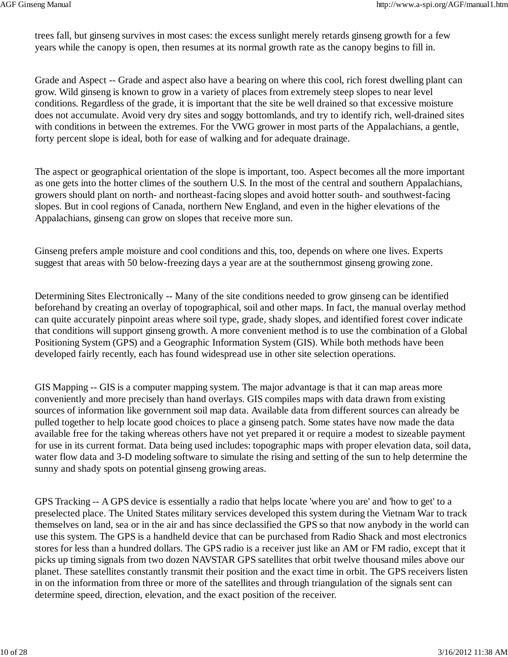trees fall, but ginseng survives in most cases: the excess sunlight merely retards ginseng growth for a few years while the canopy is open, then resumes at its normal growth rate as the canopy begins to fill in.

Grade and Aspect -- Grade and aspect also have a bearing on where this cool, rich forest dwelling plant can grow. Wild ginseng is known to grow in a variety of places from extremely steep slopes to near level conditions. Regardless of the grade, it is important that the site be well drained so that excessive moisture does not accumulate. Avoid very dry sites and soggy bottomlands, and try to identify rich, well-drained sites with conditions in between the extremes. For the VWG grower in most parts of the Appalachians, a gentle, forty percent slope is ideal, both for ease of walking and for adequate drainage.

The aspect or geographical orientation of the slope is important, too. Aspect becomes all the more important as one gets into the hotter climes of the southern U.S. In the most of the central and southern Appalachians, growers should plant on north- and northeast-facing slopes and avoid hotter south- and southwest-facing slopes. But in cool regions of Canada, northern New England, and even in the higher elevations of the Appalachians, ginseng can grow on slopes that receive more sun.

Ginseng prefers ample moisture and cool conditions and this, too, depends on where one lives. Experts suggest that areas with 50 below-freezing days a year are at the southernmost ginseng growing zone.

Determining Sites Electronically -- Many of the site conditions needed to grow ginseng can be identified beforehand by creating an overlay of topographical, soil and other maps. In fact, the manual overlay method can quite accurately pinpoint areas where soil type, grade, shady slopes, and identified forest cover indicate that conditions will support ginseng growth. A more convenient method is to use the combination of a Global Positioning System (GPS) and a Geographic Information System (GIS). While both methods have been developed fairly recently, each has found widespread use in other site selection operations.

GIS Mapping -- GIS is a computer mapping system. The major advantage is that it can map areas more conveniently and more precisely than hand overlays. GIS compiles maps with data drawn from existing sources of information like government soil map data. Available data from different sources can already be pulled together to help locate good choices to place a ginseng patch. Some states have now made the data available free for the taking whereas others have not yet prepared it or require a modest to sizeable payment for use in its current format. Data being used includes: topographic maps with proper elevation data, soil data, water flow data and 3-D modeling software to simulate the rising and setting of the sun to help determine the sunny and shady spots on potential ginseng growing areas.

GPS Tracking -- A GPS device is essentially a radio that helps locate 'where you are' and 'how to get' to a preselected place. The United States military services developed this system during the Vietnam War to track themselves on land, sea or in the air and has since declassified the GPS so that now anybody in the world can use this system. The GPS is a handheld device that can be purchased from Radio Shack and most electronics stores for less than a hundred dollars. The GPS radio is a receiver just like an AM or FM radio, except that it picks up timing signals from two dozen NAVSTAR GPS satellites that orbit twelve thousand miles above our planet. These satellites constantly transmit their position and the exact time in orbit. The GPS receivers listen in on the information from three or more of the satellites and through triangulation of the signals sent can determine speed, direction, elevation, and the exact position of the receiver.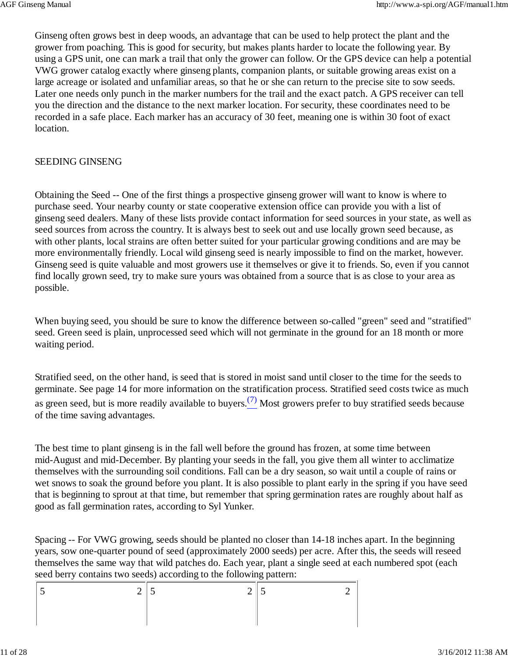Ginseng often grows best in deep woods, an advantage that can be used to help protect the plant and the grower from poaching. This is good for security, but makes plants harder to locate the following year. By using a GPS unit, one can mark a trail that only the grower can follow. Or the GPS device can help a potential VWG grower catalog exactly where ginseng plants, companion plants, or suitable growing areas exist on a large acreage or isolated and unfamiliar areas, so that he or she can return to the precise site to sow seeds. Later one needs only punch in the marker numbers for the trail and the exact patch. A GPS receiver can tell you the direction and the distance to the next marker location. For security, these coordinates need to be recorded in a safe place. Each marker has an accuracy of 30 feet, meaning one is within 30 foot of exact location.

#### SEEDING GINSENG

Obtaining the Seed -- One of the first things a prospective ginseng grower will want to know is where to purchase seed. Your nearby county or state cooperative extension office can provide you with a list of ginseng seed dealers. Many of these lists provide contact information for seed sources in your state, as well as seed sources from across the country. It is always best to seek out and use locally grown seed because, as with other plants, local strains are often better suited for your particular growing conditions and are may be more environmentally friendly. Local wild ginseng seed is nearly impossible to find on the market, however. Ginseng seed is quite valuable and most growers use it themselves or give it to friends. So, even if you cannot find locally grown seed, try to make sure yours was obtained from a source that is as close to your area as possible.

When buying seed, you should be sure to know the difference between so-called "green" seed and "stratified" seed. Green seed is plain, unprocessed seed which will not germinate in the ground for an 18 month or more waiting period.

Stratified seed, on the other hand, is seed that is stored in moist sand until closer to the time for the seeds to germinate. See page 14 for more information on the stratification process. Stratified seed costs twice as much as green seed, but is more readily available to buyers.<sup>(7)</sup> Most growers prefer to buy stratified seeds because of the time saving advantages.

The best time to plant ginseng is in the fall well before the ground has frozen, at some time between mid-August and mid-December. By planting your seeds in the fall, you give them all winter to acclimatize themselves with the surrounding soil conditions. Fall can be a dry season, so wait until a couple of rains or wet snows to soak the ground before you plant. It is also possible to plant early in the spring if you have seed that is beginning to sprout at that time, but remember that spring germination rates are roughly about half as good as fall germination rates, according to Syl Yunker.

Spacing -- For VWG growing, seeds should be planted no closer than 14-18 inches apart. In the beginning years, sow one-quarter pound of seed (approximately 2000 seeds) per acre. After this, the seeds will reseed themselves the same way that wild patches do. Each year, plant a single seed at each numbered spot (each seed berry contains two seeds) according to the following pattern:

|  | ⌒<br>$\overline{\phantom{0}}$ | -<br>ັ<br>∸ |  |
|--|-------------------------------|-------------|--|
|  |                               |             |  |
|  |                               |             |  |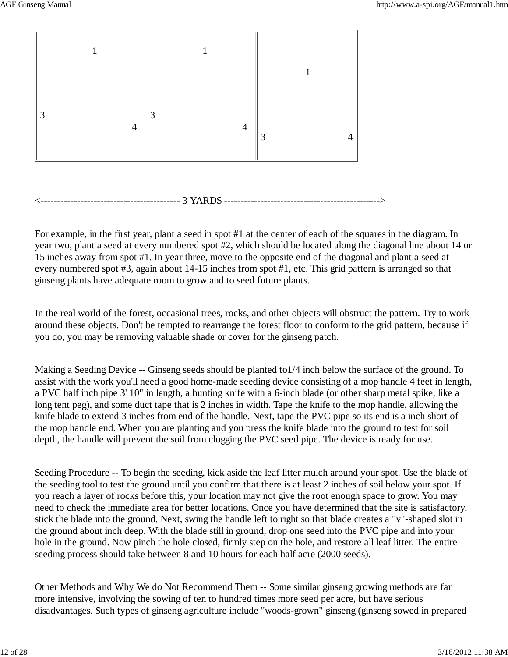

<------------------------------------------ 3 YARDS ----------------------------------------------->

For example, in the first year, plant a seed in spot #1 at the center of each of the squares in the diagram. In year two, plant a seed at every numbered spot #2, which should be located along the diagonal line about 14 or 15 inches away from spot #1. In year three, move to the opposite end of the diagonal and plant a seed at every numbered spot #3, again about 14-15 inches from spot #1, etc. This grid pattern is arranged so that ginseng plants have adequate room to grow and to seed future plants.

In the real world of the forest, occasional trees, rocks, and other objects will obstruct the pattern. Try to work around these objects. Don't be tempted to rearrange the forest floor to conform to the grid pattern, because if you do, you may be removing valuable shade or cover for the ginseng patch.

Making a Seeding Device -- Ginseng seeds should be planted to1/4 inch below the surface of the ground. To assist with the work you'll need a good home-made seeding device consisting of a mop handle 4 feet in length, a PVC half inch pipe 3' 10" in length, a hunting knife with a 6-inch blade (or other sharp metal spike, like a long tent peg), and some duct tape that is 2 inches in width. Tape the knife to the mop handle, allowing the knife blade to extend 3 inches from end of the handle. Next, tape the PVC pipe so its end is a inch short of the mop handle end. When you are planting and you press the knife blade into the ground to test for soil depth, the handle will prevent the soil from clogging the PVC seed pipe. The device is ready for use.

Seeding Procedure -- To begin the seeding, kick aside the leaf litter mulch around your spot. Use the blade of the seeding tool to test the ground until you confirm that there is at least 2 inches of soil below your spot. If you reach a layer of rocks before this, your location may not give the root enough space to grow. You may need to check the immediate area for better locations. Once you have determined that the site is satisfactory, stick the blade into the ground. Next, swing the handle left to right so that blade creates a "v"-shaped slot in the ground about inch deep. With the blade still in ground, drop one seed into the PVC pipe and into your hole in the ground. Now pinch the hole closed, firmly step on the hole, and restore all leaf litter. The entire seeding process should take between 8 and 10 hours for each half acre (2000 seeds).

Other Methods and Why We do Not Recommend Them -- Some similar ginseng growing methods are far more intensive, involving the sowing of ten to hundred times more seed per acre, but have serious disadvantages. Such types of ginseng agriculture include "woods-grown" ginseng (ginseng sowed in prepared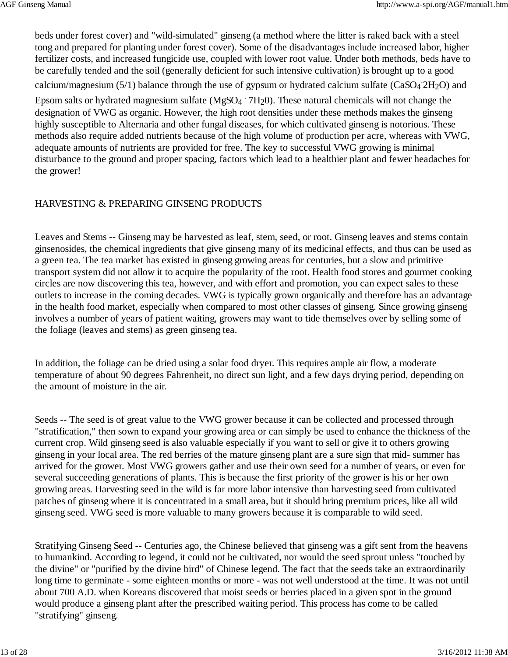beds under forest cover) and "wild-simulated" ginseng (a method where the litter is raked back with a steel tong and prepared for planting under forest cover). Some of the disadvantages include increased labor, higher fertilizer costs, and increased fungicide use, coupled with lower root value. Under both methods, beds have to be carefully tended and the soil (generally deficient for such intensive cultivation) is brought up to a good calcium/magnesium (5/1) balance through the use of gypsum or hydrated calcium sulfate (CaSO4<sup>·</sup>2H<sub>2</sub>O) and Epsom salts or hydrated magnesium sulfate ( $MgSO<sub>4</sub>$   $\cdot$  7H<sub>2</sub>0). These natural chemicals will not change the designation of VWG as organic. However, the high root densities under these methods makes the ginseng highly susceptible to Alternaria and other fungal diseases, for which cultivated ginseng is notorious. These methods also require added nutrients because of the high volume of production per acre, whereas with VWG, adequate amounts of nutrients are provided for free. The key to successful VWG growing is minimal disturbance to the ground and proper spacing, factors which lead to a healthier plant and fewer headaches for the grower!

# HARVESTING & PREPARING GINSENG PRODUCTS

Leaves and Stems -- Ginseng may be harvested as leaf, stem, seed, or root. Ginseng leaves and stems contain ginsenosides, the chemical ingredients that give ginseng many of its medicinal effects, and thus can be used as a green tea. The tea market has existed in ginseng growing areas for centuries, but a slow and primitive transport system did not allow it to acquire the popularity of the root. Health food stores and gourmet cooking circles are now discovering this tea, however, and with effort and promotion, you can expect sales to these outlets to increase in the coming decades. VWG is typically grown organically and therefore has an advantage in the health food market, especially when compared to most other classes of ginseng. Since growing ginseng involves a number of years of patient waiting, growers may want to tide themselves over by selling some of the foliage (leaves and stems) as green ginseng tea.

In addition, the foliage can be dried using a solar food dryer. This requires ample air flow, a moderate temperature of about 90 degrees Fahrenheit, no direct sun light, and a few days drying period, depending on the amount of moisture in the air.

Seeds -- The seed is of great value to the VWG grower because it can be collected and processed through "stratification," then sown to expand your growing area or can simply be used to enhance the thickness of the current crop. Wild ginseng seed is also valuable especially if you want to sell or give it to others growing ginseng in your local area. The red berries of the mature ginseng plant are a sure sign that mid- summer has arrived for the grower. Most VWG growers gather and use their own seed for a number of years, or even for several succeeding generations of plants. This is because the first priority of the grower is his or her own growing areas. Harvesting seed in the wild is far more labor intensive than harvesting seed from cultivated patches of ginseng where it is concentrated in a small area, but it should bring premium prices, like all wild ginseng seed. VWG seed is more valuable to many growers because it is comparable to wild seed.

Stratifying Ginseng Seed -- Centuries ago, the Chinese believed that ginseng was a gift sent from the heavens to humankind. According to legend, it could not be cultivated, nor would the seed sprout unless "touched by the divine" or "purified by the divine bird" of Chinese legend. The fact that the seeds take an extraordinarily long time to germinate - some eighteen months or more - was not well understood at the time. It was not until about 700 A.D. when Koreans discovered that moist seeds or berries placed in a given spot in the ground would produce a ginseng plant after the prescribed waiting period. This process has come to be called "stratifying" ginseng.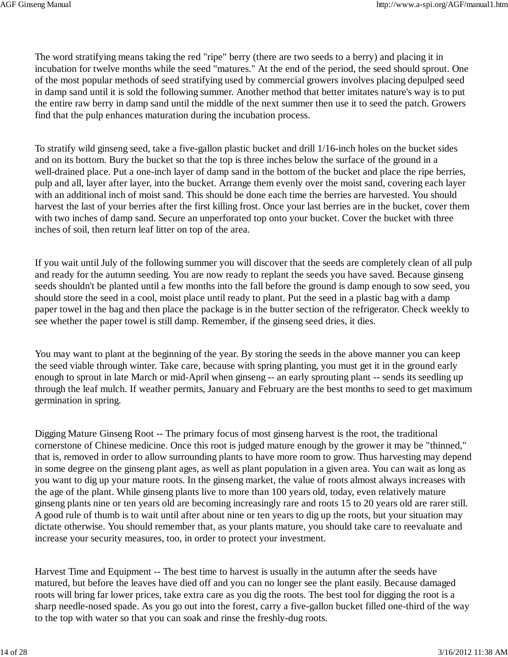The word stratifying means taking the red "ripe" berry (there are two seeds to a berry) and placing it in incubation for twelve months while the seed "matures." At the end of the period, the seed should sprout. One of the most popular methods of seed stratifying used by commercial growers involves placing depulped seed in damp sand until it is sold the following summer. Another method that better imitates nature's way is to put the entire raw berry in damp sand until the middle of the next summer then use it to seed the patch. Growers find that the pulp enhances maturation during the incubation process.

To stratify wild ginseng seed, take a five-gallon plastic bucket and drill 1/16-inch holes on the bucket sides and on its bottom. Bury the bucket so that the top is three inches below the surface of the ground in a well-drained place. Put a one-inch layer of damp sand in the bottom of the bucket and place the ripe berries, pulp and all, layer after layer, into the bucket. Arrange them evenly over the moist sand, covering each layer with an additional inch of moist sand. This should be done each time the berries are harvested. You should harvest the last of your berries after the first killing frost. Once your last berries are in the bucket, cover them with two inches of damp sand. Secure an unperforated top onto your bucket. Cover the bucket with three inches of soil, then return leaf litter on top of the area.

If you wait until July of the following summer you will discover that the seeds are completely clean of all pulp and ready for the autumn seeding. You are now ready to replant the seeds you have saved. Because ginseng seeds shouldn't be planted until a few months into the fall before the ground is damp enough to sow seed, you should store the seed in a cool, moist place until ready to plant. Put the seed in a plastic bag with a damp paper towel in the bag and then place the package is in the butter section of the refrigerator. Check weekly to see whether the paper towel is still damp. Remember, if the ginseng seed dries, it dies.

You may want to plant at the beginning of the year. By storing the seeds in the above manner you can keep the seed viable through winter. Take care, because with spring planting, you must get it in the ground early enough to sprout in late March or mid-April when ginseng -- an early sprouting plant -- sends its seedling up through the leaf mulch. If weather permits, January and February are the best months to seed to get maximum germination in spring.

Digging Mature Ginseng Root -- The primary focus of most ginseng harvest is the root, the traditional cornerstone of Chinese medicine. Once this root is judged mature enough by the grower it may be "thinned," that is, removed in order to allow surrounding plants to have more room to grow. Thus harvesting may depend in some degree on the ginseng plant ages, as well as plant population in a given area. You can wait as long as you want to dig up your mature roots. In the ginseng market, the value of roots almost always increases with the age of the plant. While ginseng plants live to more than 100 years old, today, even relatively mature ginseng plants nine or ten years old are becoming increasingly rare and roots 15 to 20 years old are rarer still. A good rule of thumb is to wait until after about nine or ten years to dig up the roots, but your situation may dictate otherwise. You should remember that, as your plants mature, you should take care to reevaluate and increase your security measures, too, in order to protect your investment.

Harvest Time and Equipment -- The best time to harvest is usually in the autumn after the seeds have matured, but before the leaves have died off and you can no longer see the plant easily. Because damaged roots will bring far lower prices, take extra care as you dig the roots. The best tool for digging the root is a sharp needle-nosed spade. As you go out into the forest, carry a five-gallon bucket filled one-third of the way to the top with water so that you can soak and rinse the freshly-dug roots.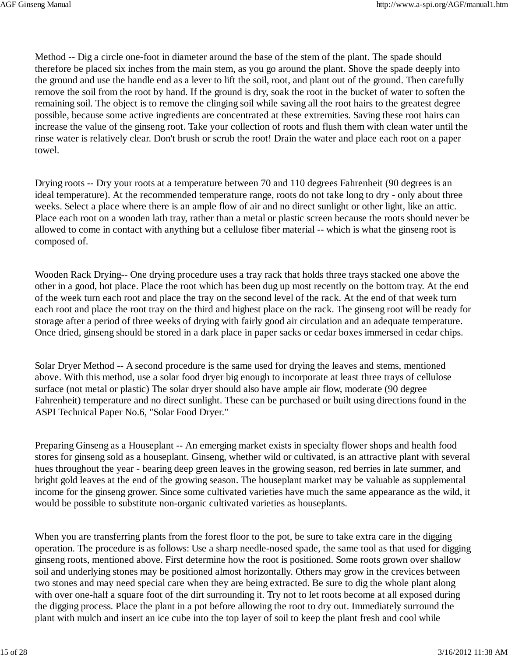Method -- Dig a circle one-foot in diameter around the base of the stem of the plant. The spade should therefore be placed six inches from the main stem, as you go around the plant. Shove the spade deeply into the ground and use the handle end as a lever to lift the soil, root, and plant out of the ground. Then carefully remove the soil from the root by hand. If the ground is dry, soak the root in the bucket of water to soften the remaining soil. The object is to remove the clinging soil while saving all the root hairs to the greatest degree possible, because some active ingredients are concentrated at these extremities. Saving these root hairs can increase the value of the ginseng root. Take your collection of roots and flush them with clean water until the rinse water is relatively clear. Don't brush or scrub the root! Drain the water and place each root on a paper towel.

Drying roots -- Dry your roots at a temperature between 70 and 110 degrees Fahrenheit (90 degrees is an ideal temperature). At the recommended temperature range, roots do not take long to dry - only about three weeks. Select a place where there is an ample flow of air and no direct sunlight or other light, like an attic. Place each root on a wooden lath tray, rather than a metal or plastic screen because the roots should never be allowed to come in contact with anything but a cellulose fiber material -- which is what the ginseng root is composed of.

Wooden Rack Drying-- One drying procedure uses a tray rack that holds three trays stacked one above the other in a good, hot place. Place the root which has been dug up most recently on the bottom tray. At the end of the week turn each root and place the tray on the second level of the rack. At the end of that week turn each root and place the root tray on the third and highest place on the rack. The ginseng root will be ready for storage after a period of three weeks of drying with fairly good air circulation and an adequate temperature. Once dried, ginseng should be stored in a dark place in paper sacks or cedar boxes immersed in cedar chips.

Solar Dryer Method -- A second procedure is the same used for drying the leaves and stems, mentioned above. With this method, use a solar food dryer big enough to incorporate at least three trays of cellulose surface (not metal or plastic) The solar dryer should also have ample air flow, moderate (90 degree Fahrenheit) temperature and no direct sunlight. These can be purchased or built using directions found in the ASPI Technical Paper No.6, "Solar Food Dryer."

Preparing Ginseng as a Houseplant -- An emerging market exists in specialty flower shops and health food stores for ginseng sold as a houseplant. Ginseng, whether wild or cultivated, is an attractive plant with several hues throughout the year - bearing deep green leaves in the growing season, red berries in late summer, and bright gold leaves at the end of the growing season. The houseplant market may be valuable as supplemental income for the ginseng grower. Since some cultivated varieties have much the same appearance as the wild, it would be possible to substitute non-organic cultivated varieties as houseplants.

When you are transferring plants from the forest floor to the pot, be sure to take extra care in the digging operation. The procedure is as follows: Use a sharp needle-nosed spade, the same tool as that used for digging ginseng roots, mentioned above. First determine how the root is positioned. Some roots grown over shallow soil and underlying stones may be positioned almost horizontally. Others may grow in the crevices between two stones and may need special care when they are being extracted. Be sure to dig the whole plant along with over one-half a square foot of the dirt surrounding it. Try not to let roots become at all exposed during the digging process. Place the plant in a pot before allowing the root to dry out. Immediately surround the plant with mulch and insert an ice cube into the top layer of soil to keep the plant fresh and cool while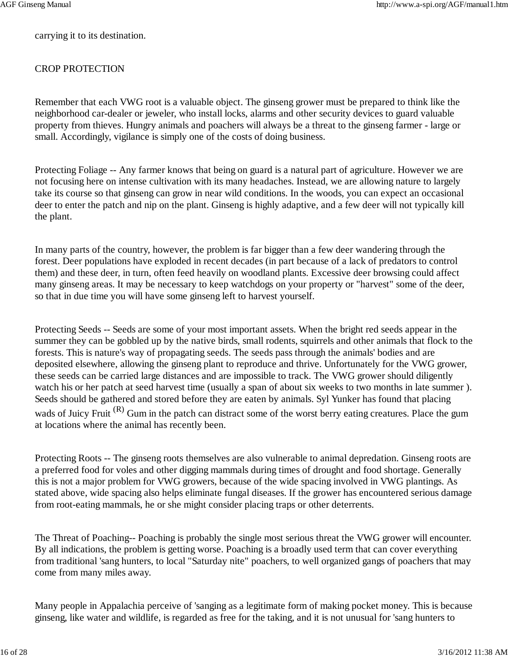carrying it to its destination.

# CROP PROTECTION

Remember that each VWG root is a valuable object. The ginseng grower must be prepared to think like the neighborhood car-dealer or jeweler, who install locks, alarms and other security devices to guard valuable property from thieves. Hungry animals and poachers will always be a threat to the ginseng farmer - large or small. Accordingly, vigilance is simply one of the costs of doing business.

Protecting Foliage -- Any farmer knows that being on guard is a natural part of agriculture. However we are not focusing here on intense cultivation with its many headaches. Instead, we are allowing nature to largely take its course so that ginseng can grow in near wild conditions. In the woods, you can expect an occasional deer to enter the patch and nip on the plant. Ginseng is highly adaptive, and a few deer will not typically kill the plant.

In many parts of the country, however, the problem is far bigger than a few deer wandering through the forest. Deer populations have exploded in recent decades (in part because of a lack of predators to control them) and these deer, in turn, often feed heavily on woodland plants. Excessive deer browsing could affect many ginseng areas. It may be necessary to keep watchdogs on your property or "harvest" some of the deer, so that in due time you will have some ginseng left to harvest yourself.

Protecting Seeds -- Seeds are some of your most important assets. When the bright red seeds appear in the summer they can be gobbled up by the native birds, small rodents, squirrels and other animals that flock to the forests. This is nature's way of propagating seeds. The seeds pass through the animals' bodies and are deposited elsewhere, allowing the ginseng plant to reproduce and thrive. Unfortunately for the VWG grower, these seeds can be carried large distances and are impossible to track. The VWG grower should diligently watch his or her patch at seed harvest time (usually a span of about six weeks to two months in late summer ). Seeds should be gathered and stored before they are eaten by animals. Syl Yunker has found that placing wads of Juicy Fruit<sup>(R)</sup> Gum in the patch can distract some of the worst berry eating creatures. Place the gum at locations where the animal has recently been.

Protecting Roots -- The ginseng roots themselves are also vulnerable to animal depredation. Ginseng roots are a preferred food for voles and other digging mammals during times of drought and food shortage. Generally this is not a major problem for VWG growers, because of the wide spacing involved in VWG plantings. As stated above, wide spacing also helps eliminate fungal diseases. If the grower has encountered serious damage from root-eating mammals, he or she might consider placing traps or other deterrents.

The Threat of Poaching-- Poaching is probably the single most serious threat the VWG grower will encounter. By all indications, the problem is getting worse. Poaching is a broadly used term that can cover everything from traditional 'sang hunters, to local "Saturday nite" poachers, to well organized gangs of poachers that may come from many miles away.

Many people in Appalachia perceive of 'sanging as a legitimate form of making pocket money. This is because ginseng, like water and wildlife, is regarded as free for the taking, and it is not unusual for 'sang hunters to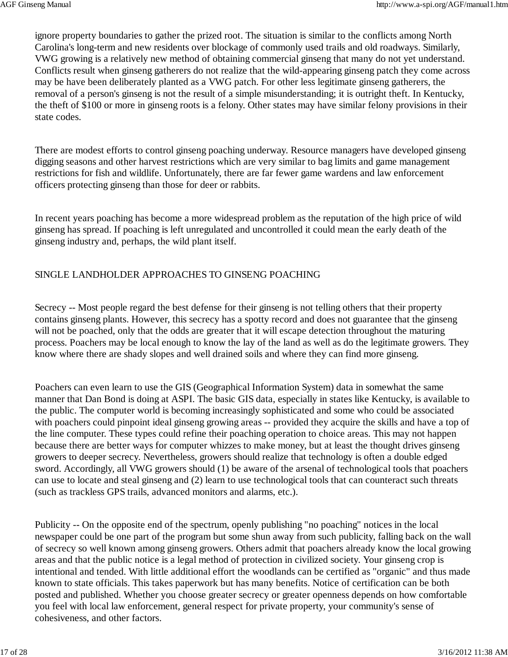ignore property boundaries to gather the prized root. The situation is similar to the conflicts among North Carolina's long-term and new residents over blockage of commonly used trails and old roadways. Similarly, VWG growing is a relatively new method of obtaining commercial ginseng that many do not yet understand. Conflicts result when ginseng gatherers do not realize that the wild-appearing ginseng patch they come across may be have been deliberately planted as a VWG patch. For other less legitimate ginseng gatherers, the removal of a person's ginseng is not the result of a simple misunderstanding; it is outright theft. In Kentucky, the theft of \$100 or more in ginseng roots is a felony. Other states may have similar felony provisions in their state codes.

There are modest efforts to control ginseng poaching underway. Resource managers have developed ginseng digging seasons and other harvest restrictions which are very similar to bag limits and game management restrictions for fish and wildlife. Unfortunately, there are far fewer game wardens and law enforcement officers protecting ginseng than those for deer or rabbits.

In recent years poaching has become a more widespread problem as the reputation of the high price of wild ginseng has spread. If poaching is left unregulated and uncontrolled it could mean the early death of the ginseng industry and, perhaps, the wild plant itself.

# SINGLE LANDHOLDER APPROACHES TO GINSENG POACHING

Secrecy -- Most people regard the best defense for their ginseng is not telling others that their property contains ginseng plants. However, this secrecy has a spotty record and does not guarantee that the ginseng will not be poached, only that the odds are greater that it will escape detection throughout the maturing process. Poachers may be local enough to know the lay of the land as well as do the legitimate growers. They know where there are shady slopes and well drained soils and where they can find more ginseng.

Poachers can even learn to use the GIS (Geographical Information System) data in somewhat the same manner that Dan Bond is doing at ASPI. The basic GIS data, especially in states like Kentucky, is available to the public. The computer world is becoming increasingly sophisticated and some who could be associated with poachers could pinpoint ideal ginseng growing areas -- provided they acquire the skills and have a top of the line computer. These types could refine their poaching operation to choice areas. This may not happen because there are better ways for computer whizzes to make money, but at least the thought drives ginseng growers to deeper secrecy. Nevertheless, growers should realize that technology is often a double edged sword. Accordingly, all VWG growers should (1) be aware of the arsenal of technological tools that poachers can use to locate and steal ginseng and (2) learn to use technological tools that can counteract such threats (such as trackless GPS trails, advanced monitors and alarms, etc.).

Publicity -- On the opposite end of the spectrum, openly publishing "no poaching" notices in the local newspaper could be one part of the program but some shun away from such publicity, falling back on the wall of secrecy so well known among ginseng growers. Others admit that poachers already know the local growing areas and that the public notice is a legal method of protection in civilized society. Your ginseng crop is intentional and tended. With little additional effort the woodlands can be certified as "organic" and thus made known to state officials. This takes paperwork but has many benefits. Notice of certification can be both posted and published. Whether you choose greater secrecy or greater openness depends on how comfortable you feel with local law enforcement, general respect for private property, your community's sense of cohesiveness, and other factors.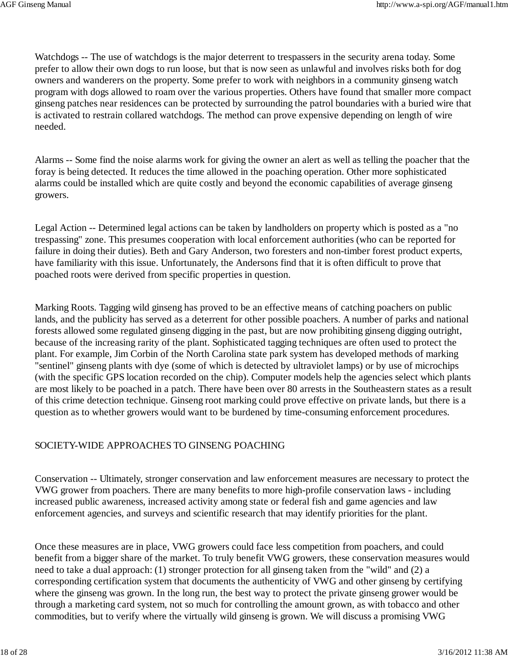Watchdogs -- The use of watchdogs is the major deterrent to trespassers in the security arena today. Some prefer to allow their own dogs to run loose, but that is now seen as unlawful and involves risks both for dog owners and wanderers on the property. Some prefer to work with neighbors in a community ginseng watch program with dogs allowed to roam over the various properties. Others have found that smaller more compact ginseng patches near residences can be protected by surrounding the patrol boundaries with a buried wire that is activated to restrain collared watchdogs. The method can prove expensive depending on length of wire needed.

Alarms -- Some find the noise alarms work for giving the owner an alert as well as telling the poacher that the foray is being detected. It reduces the time allowed in the poaching operation. Other more sophisticated alarms could be installed which are quite costly and beyond the economic capabilities of average ginseng growers.

Legal Action -- Determined legal actions can be taken by landholders on property which is posted as a "no trespassing" zone. This presumes cooperation with local enforcement authorities (who can be reported for failure in doing their duties). Beth and Gary Anderson, two foresters and non-timber forest product experts, have familiarity with this issue. Unfortunately, the Andersons find that it is often difficult to prove that poached roots were derived from specific properties in question.

Marking Roots. Tagging wild ginseng has proved to be an effective means of catching poachers on public lands, and the publicity has served as a deterrent for other possible poachers. A number of parks and national forests allowed some regulated ginseng digging in the past, but are now prohibiting ginseng digging outright, because of the increasing rarity of the plant. Sophisticated tagging techniques are often used to protect the plant. For example, Jim Corbin of the North Carolina state park system has developed methods of marking "sentinel" ginseng plants with dye (some of which is detected by ultraviolet lamps) or by use of microchips (with the specific GPS location recorded on the chip). Computer models help the agencies select which plants are most likely to be poached in a patch. There have been over 80 arrests in the Southeastern states as a result of this crime detection technique. Ginseng root marking could prove effective on private lands, but there is a question as to whether growers would want to be burdened by time-consuming enforcement procedures.

# SOCIETY-WIDE APPROACHES TO GINSENG POACHING

Conservation -- Ultimately, stronger conservation and law enforcement measures are necessary to protect the VWG grower from poachers. There are many benefits to more high-profile conservation laws - including increased public awareness, increased activity among state or federal fish and game agencies and law enforcement agencies, and surveys and scientific research that may identify priorities for the plant.

Once these measures are in place, VWG growers could face less competition from poachers, and could benefit from a bigger share of the market. To truly benefit VWG growers, these conservation measures would need to take a dual approach: (1) stronger protection for all ginseng taken from the "wild" and (2) a corresponding certification system that documents the authenticity of VWG and other ginseng by certifying where the ginseng was grown. In the long run, the best way to protect the private ginseng grower would be through a marketing card system, not so much for controlling the amount grown, as with tobacco and other commodities, but to verify where the virtually wild ginseng is grown. We will discuss a promising VWG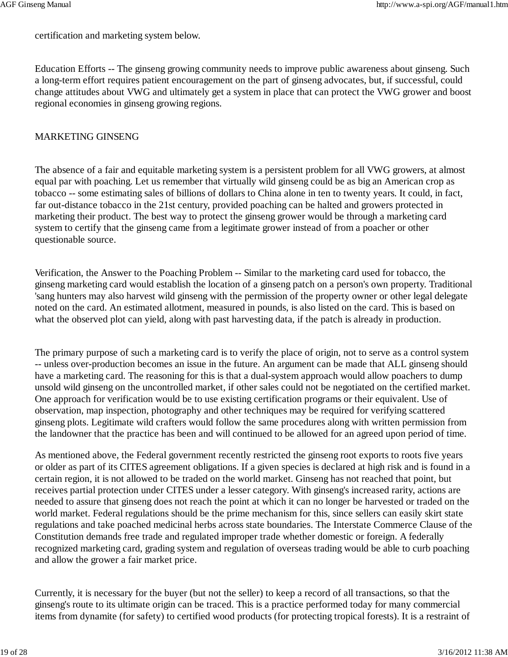certification and marketing system below.

Education Efforts -- The ginseng growing community needs to improve public awareness about ginseng. Such a long-term effort requires patient encouragement on the part of ginseng advocates, but, if successful, could change attitudes about VWG and ultimately get a system in place that can protect the VWG grower and boost regional economies in ginseng growing regions.

#### MARKETING GINSENG

The absence of a fair and equitable marketing system is a persistent problem for all VWG growers, at almost equal par with poaching. Let us remember that virtually wild ginseng could be as big an American crop as tobacco -- some estimating sales of billions of dollars to China alone in ten to twenty years. It could, in fact, far out-distance tobacco in the 21st century, provided poaching can be halted and growers protected in marketing their product. The best way to protect the ginseng grower would be through a marketing card system to certify that the ginseng came from a legitimate grower instead of from a poacher or other questionable source.

Verification, the Answer to the Poaching Problem -- Similar to the marketing card used for tobacco, the ginseng marketing card would establish the location of a ginseng patch on a person's own property. Traditional 'sang hunters may also harvest wild ginseng with the permission of the property owner or other legal delegate noted on the card. An estimated allotment, measured in pounds, is also listed on the card. This is based on what the observed plot can yield, along with past harvesting data, if the patch is already in production.

The primary purpose of such a marketing card is to verify the place of origin, not to serve as a control system -- unless over-production becomes an issue in the future. An argument can be made that ALL ginseng should have a marketing card. The reasoning for this is that a dual-system approach would allow poachers to dump unsold wild ginseng on the uncontrolled market, if other sales could not be negotiated on the certified market. One approach for verification would be to use existing certification programs or their equivalent. Use of observation, map inspection, photography and other techniques may be required for verifying scattered ginseng plots. Legitimate wild crafters would follow the same procedures along with written permission from the landowner that the practice has been and will continued to be allowed for an agreed upon period of time.

As mentioned above, the Federal government recently restricted the ginseng root exports to roots five years or older as part of its CITES agreement obligations. If a given species is declared at high risk and is found in a certain region, it is not allowed to be traded on the world market. Ginseng has not reached that point, but receives partial protection under CITES under a lesser category. With ginseng's increased rarity, actions are needed to assure that ginseng does not reach the point at which it can no longer be harvested or traded on the world market. Federal regulations should be the prime mechanism for this, since sellers can easily skirt state regulations and take poached medicinal herbs across state boundaries. The Interstate Commerce Clause of the Constitution demands free trade and regulated improper trade whether domestic or foreign. A federally recognized marketing card, grading system and regulation of overseas trading would be able to curb poaching and allow the grower a fair market price.

Currently, it is necessary for the buyer (but not the seller) to keep a record of all transactions, so that the ginseng's route to its ultimate origin can be traced. This is a practice performed today for many commercial items from dynamite (for safety) to certified wood products (for protecting tropical forests). It is a restraint of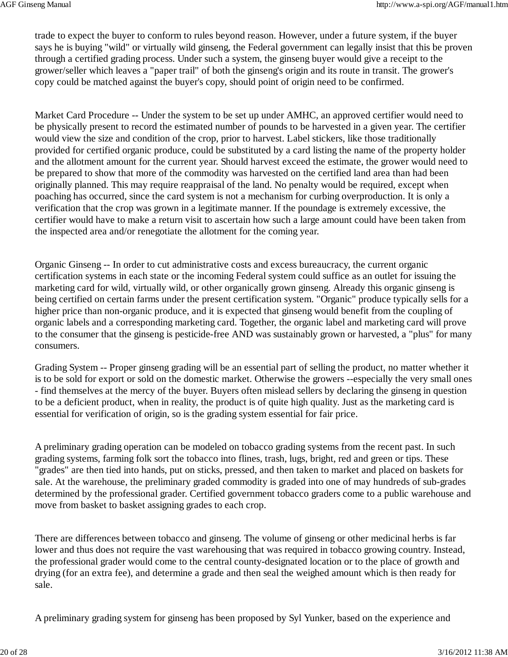trade to expect the buyer to conform to rules beyond reason. However, under a future system, if the buyer says he is buying "wild" or virtually wild ginseng, the Federal government can legally insist that this be proven through a certified grading process. Under such a system, the ginseng buyer would give a receipt to the grower/seller which leaves a "paper trail" of both the ginseng's origin and its route in transit. The grower's copy could be matched against the buyer's copy, should point of origin need to be confirmed.

Market Card Procedure -- Under the system to be set up under AMHC, an approved certifier would need to be physically present to record the estimated number of pounds to be harvested in a given year. The certifier would view the size and condition of the crop, prior to harvest. Label stickers, like those traditionally provided for certified organic produce, could be substituted by a card listing the name of the property holder and the allotment amount for the current year. Should harvest exceed the estimate, the grower would need to be prepared to show that more of the commodity was harvested on the certified land area than had been originally planned. This may require reappraisal of the land. No penalty would be required, except when poaching has occurred, since the card system is not a mechanism for curbing overproduction. It is only a verification that the crop was grown in a legitimate manner. If the poundage is extremely excessive, the certifier would have to make a return visit to ascertain how such a large amount could have been taken from the inspected area and/or renegotiate the allotment for the coming year.

Organic Ginseng -- In order to cut administrative costs and excess bureaucracy, the current organic certification systems in each state or the incoming Federal system could suffice as an outlet for issuing the marketing card for wild, virtually wild, or other organically grown ginseng. Already this organic ginseng is being certified on certain farms under the present certification system. "Organic" produce typically sells for a higher price than non-organic produce, and it is expected that ginseng would benefit from the coupling of organic labels and a corresponding marketing card. Together, the organic label and marketing card will prove to the consumer that the ginseng is pesticide-free AND was sustainably grown or harvested, a "plus" for many consumers.

Grading System -- Proper ginseng grading will be an essential part of selling the product, no matter whether it is to be sold for export or sold on the domestic market. Otherwise the growers --especially the very small ones - find themselves at the mercy of the buyer. Buyers often mislead sellers by declaring the ginseng in question to be a deficient product, when in reality, the product is of quite high quality. Just as the marketing card is essential for verification of origin, so is the grading system essential for fair price.

A preliminary grading operation can be modeled on tobacco grading systems from the recent past. In such grading systems, farming folk sort the tobacco into flines, trash, lugs, bright, red and green or tips. These "grades" are then tied into hands, put on sticks, pressed, and then taken to market and placed on baskets for sale. At the warehouse, the preliminary graded commodity is graded into one of may hundreds of sub-grades determined by the professional grader. Certified government tobacco graders come to a public warehouse and move from basket to basket assigning grades to each crop.

There are differences between tobacco and ginseng. The volume of ginseng or other medicinal herbs is far lower and thus does not require the vast warehousing that was required in tobacco growing country. Instead, the professional grader would come to the central county-designated location or to the place of growth and drying (for an extra fee), and determine a grade and then seal the weighed amount which is then ready for sale.

A preliminary grading system for ginseng has been proposed by Syl Yunker, based on the experience and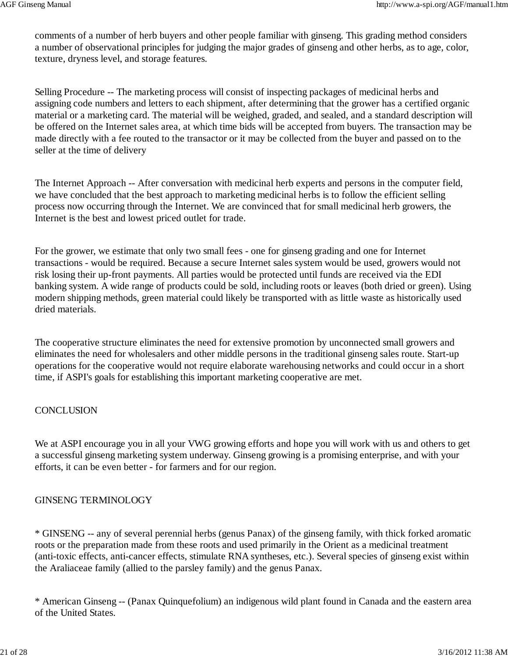comments of a number of herb buyers and other people familiar with ginseng. This grading method considers a number of observational principles for judging the major grades of ginseng and other herbs, as to age, color, texture, dryness level, and storage features.

Selling Procedure -- The marketing process will consist of inspecting packages of medicinal herbs and assigning code numbers and letters to each shipment, after determining that the grower has a certified organic material or a marketing card. The material will be weighed, graded, and sealed, and a standard description will be offered on the Internet sales area, at which time bids will be accepted from buyers. The transaction may be made directly with a fee routed to the transactor or it may be collected from the buyer and passed on to the seller at the time of delivery

The Internet Approach -- After conversation with medicinal herb experts and persons in the computer field, we have concluded that the best approach to marketing medicinal herbs is to follow the efficient selling process now occurring through the Internet. We are convinced that for small medicinal herb growers, the Internet is the best and lowest priced outlet for trade.

For the grower, we estimate that only two small fees - one for ginseng grading and one for Internet transactions - would be required. Because a secure Internet sales system would be used, growers would not risk losing their up-front payments. All parties would be protected until funds are received via the EDI banking system. A wide range of products could be sold, including roots or leaves (both dried or green). Using modern shipping methods, green material could likely be transported with as little waste as historically used dried materials.

The cooperative structure eliminates the need for extensive promotion by unconnected small growers and eliminates the need for wholesalers and other middle persons in the traditional ginseng sales route. Start-up operations for the cooperative would not require elaborate warehousing networks and could occur in a short time, if ASPI's goals for establishing this important marketing cooperative are met.

# **CONCLUSION**

We at ASPI encourage you in all your VWG growing efforts and hope you will work with us and others to get a successful ginseng marketing system underway. Ginseng growing is a promising enterprise, and with your efforts, it can be even better - for farmers and for our region.

# GINSENG TERMINOLOGY

\* GINSENG -- any of several perennial herbs (genus Panax) of the ginseng family, with thick forked aromatic roots or the preparation made from these roots and used primarily in the Orient as a medicinal treatment (anti-toxic effects, anti-cancer effects, stimulate RNA syntheses, etc.). Several species of ginseng exist within the Araliaceae family (allied to the parsley family) and the genus Panax.

\* American Ginseng -- (Panax Quinquefolium) an indigenous wild plant found in Canada and the eastern area of the United States.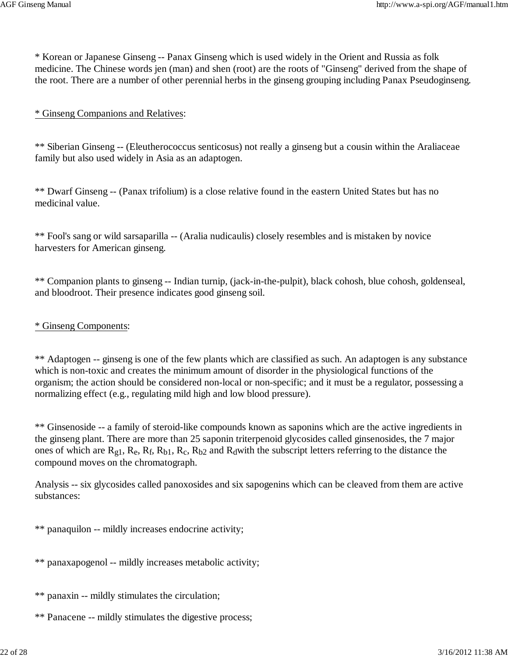\* Korean or Japanese Ginseng -- Panax Ginseng which is used widely in the Orient and Russia as folk medicine. The Chinese words jen (man) and shen (root) are the roots of "Ginseng" derived from the shape of the root. There are a number of other perennial herbs in the ginseng grouping including Panax Pseudoginseng.

#### \* Ginseng Companions and Relatives:

\*\* Siberian Ginseng -- (Eleutherococcus senticosus) not really a ginseng but a cousin within the Araliaceae family but also used widely in Asia as an adaptogen.

\*\* Dwarf Ginseng -- (Panax trifolium) is a close relative found in the eastern United States but has no medicinal value.

\*\* Fool's sang or wild sarsaparilla -- (Aralia nudicaulis) closely resembles and is mistaken by novice harvesters for American ginseng.

\*\* Companion plants to ginseng -- Indian turnip, (jack-in-the-pulpit), black cohosh, blue cohosh, goldenseal, and bloodroot. Their presence indicates good ginseng soil.

#### \* Ginseng Components:

\*\* Adaptogen -- ginseng is one of the few plants which are classified as such. An adaptogen is any substance which is non-toxic and creates the minimum amount of disorder in the physiological functions of the organism; the action should be considered non-local or non-specific; and it must be a regulator, possessing a normalizing effect (e.g., regulating mild high and low blood pressure).

\*\* Ginsenoside -- a family of steroid-like compounds known as saponins which are the active ingredients in the ginseng plant. There are more than 25 saponin triterpenoid glycosides called ginsenosides, the 7 major ones of which are  $R_{g1}$ ,  $R_{e}$ ,  $R_{f}$ ,  $R_{b1}$ ,  $R_{c}$ ,  $R_{b2}$  and  $R_{d}$  with the subscript letters referring to the distance the compound moves on the chromatograph.

Analysis -- six glycosides called panoxosides and six sapogenins which can be cleaved from them are active substances:

\*\* panaquilon -- mildly increases endocrine activity;

- \*\* panaxapogenol -- mildly increases metabolic activity;
- \*\* panaxin -- mildly stimulates the circulation;
- \*\* Panacene -- mildly stimulates the digestive process;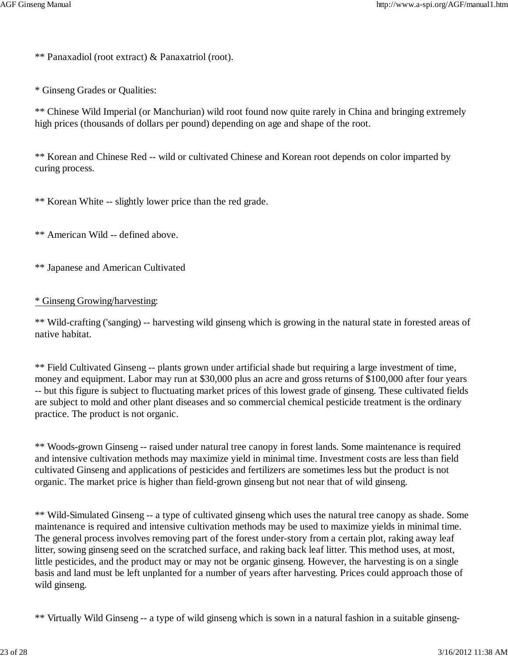\*\* Panaxadiol (root extract) & Panaxatriol (root).

\* Ginseng Grades or Qualities:

\*\* Chinese Wild Imperial (or Manchurian) wild root found now quite rarely in China and bringing extremely high prices (thousands of dollars per pound) depending on age and shape of the root.

\*\* Korean and Chinese Red -- wild or cultivated Chinese and Korean root depends on color imparted by curing process.

\*\* Korean White -- slightly lower price than the red grade.

\*\* American Wild -- defined above.

\*\* Japanese and American Cultivated

#### \* Ginseng Growing/harvesting:

\*\* Wild-crafting ('sanging) -- harvesting wild ginseng which is growing in the natural state in forested areas of native habitat.

\*\* Field Cultivated Ginseng -- plants grown under artificial shade but requiring a large investment of time, money and equipment. Labor may run at \$30,000 plus an acre and gross returns of \$100,000 after four years -- but this figure is subject to fluctuating market prices of this lowest grade of ginseng. These cultivated fields are subject to mold and other plant diseases and so commercial chemical pesticide treatment is the ordinary practice. The product is not organic.

\*\* Woods-grown Ginseng -- raised under natural tree canopy in forest lands. Some maintenance is required and intensive cultivation methods may maximize yield in minimal time. Investment costs are less than field cultivated Ginseng and applications of pesticides and fertilizers are sometimes less but the product is not organic. The market price is higher than field-grown ginseng but not near that of wild ginseng.

\*\* Wild-Simulated Ginseng -- a type of cultivated ginseng which uses the natural tree canopy as shade. Some maintenance is required and intensive cultivation methods may be used to maximize yields in minimal time. The general process involves removing part of the forest under-story from a certain plot, raking away leaf litter, sowing ginseng seed on the scratched surface, and raking back leaf litter. This method uses, at most, little pesticides, and the product may or may not be organic ginseng. However, the harvesting is on a single basis and land must be left unplanted for a number of years after harvesting. Prices could approach those of wild ginseng.

\*\* Virtually Wild Ginseng -- a type of wild ginseng which is sown in a natural fashion in a suitable ginseng-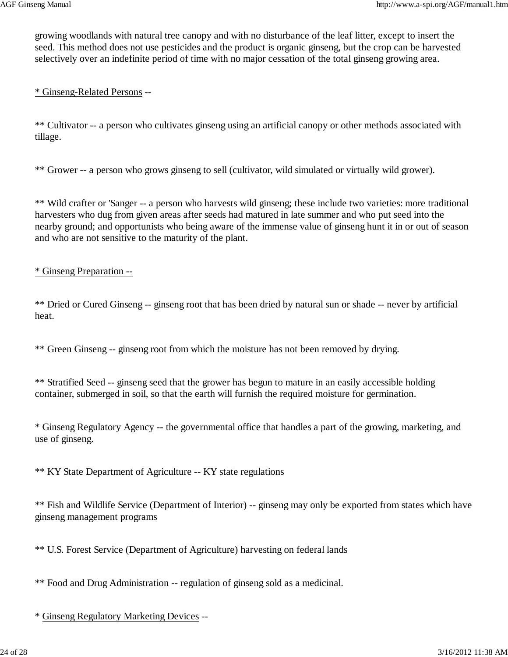growing woodlands with natural tree canopy and with no disturbance of the leaf litter, except to insert the seed. This method does not use pesticides and the product is organic ginseng, but the crop can be harvested selectively over an indefinite period of time with no major cessation of the total ginseng growing area.

#### \* Ginseng-Related Persons --

\*\* Cultivator -- a person who cultivates ginseng using an artificial canopy or other methods associated with tillage.

\*\* Grower -- a person who grows ginseng to sell (cultivator, wild simulated or virtually wild grower).

\*\* Wild crafter or 'Sanger -- a person who harvests wild ginseng; these include two varieties: more traditional harvesters who dug from given areas after seeds had matured in late summer and who put seed into the nearby ground; and opportunists who being aware of the immense value of ginseng hunt it in or out of season and who are not sensitive to the maturity of the plant.

#### \* Ginseng Preparation --

\*\* Dried or Cured Ginseng -- ginseng root that has been dried by natural sun or shade -- never by artificial heat.

\*\* Green Ginseng -- ginseng root from which the moisture has not been removed by drying.

\*\* Stratified Seed -- ginseng seed that the grower has begun to mature in an easily accessible holding container, submerged in soil, so that the earth will furnish the required moisture for germination.

\* Ginseng Regulatory Agency -- the governmental office that handles a part of the growing, marketing, and use of ginseng.

\*\* KY State Department of Agriculture -- KY state regulations

\*\* Fish and Wildlife Service (Department of Interior) -- ginseng may only be exported from states which have ginseng management programs

\*\* U.S. Forest Service (Department of Agriculture) harvesting on federal lands

\*\* Food and Drug Administration -- regulation of ginseng sold as a medicinal.

\* Ginseng Regulatory Marketing Devices --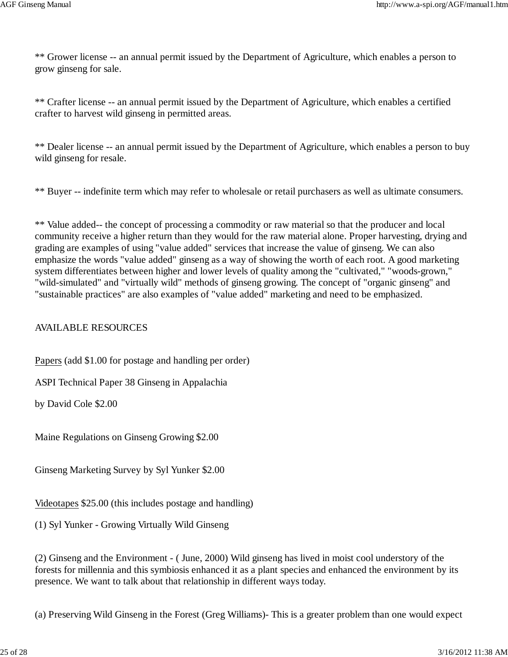\*\* Grower license -- an annual permit issued by the Department of Agriculture, which enables a person to grow ginseng for sale.

\*\* Crafter license -- an annual permit issued by the Department of Agriculture, which enables a certified crafter to harvest wild ginseng in permitted areas.

\*\* Dealer license -- an annual permit issued by the Department of Agriculture, which enables a person to buy wild ginseng for resale.

\*\* Buyer -- indefinite term which may refer to wholesale or retail purchasers as well as ultimate consumers.

\*\* Value added-- the concept of processing a commodity or raw material so that the producer and local community receive a higher return than they would for the raw material alone. Proper harvesting, drying and grading are examples of using "value added" services that increase the value of ginseng. We can also emphasize the words "value added" ginseng as a way of showing the worth of each root. A good marketing system differentiates between higher and lower levels of quality among the "cultivated," "woods-grown," "wild-simulated" and "virtually wild" methods of ginseng growing. The concept of "organic ginseng" and "sustainable practices" are also examples of "value added" marketing and need to be emphasized.

#### AVAILABLE RESOURCES

Papers (add \$1.00 for postage and handling per order)

ASPI Technical Paper 38 Ginseng in Appalachia

by David Cole \$2.00

Maine Regulations on Ginseng Growing \$2.00

Ginseng Marketing Survey by Syl Yunker \$2.00

Videotapes \$25.00 (this includes postage and handling)

(1) Syl Yunker - Growing Virtually Wild Ginseng

(2) Ginseng and the Environment - ( June, 2000) Wild ginseng has lived in moist cool understory of the forests for millennia and this symbiosis enhanced it as a plant species and enhanced the environment by its presence. We want to talk about that relationship in different ways today.

(a) Preserving Wild Ginseng in the Forest (Greg Williams)- This is a greater problem than one would expect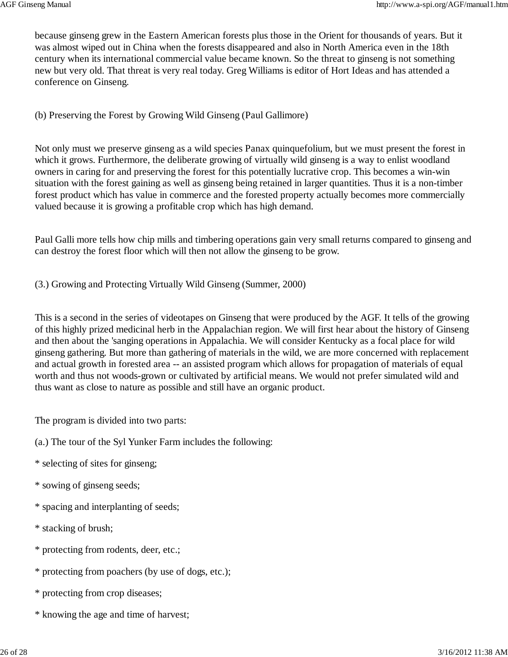because ginseng grew in the Eastern American forests plus those in the Orient for thousands of years. But it was almost wiped out in China when the forests disappeared and also in North America even in the 18th century when its international commercial value became known. So the threat to ginseng is not something new but very old. That threat is very real today. Greg Williams is editor of Hort Ideas and has attended a conference on Ginseng.

(b) Preserving the Forest by Growing Wild Ginseng (Paul Gallimore)

Not only must we preserve ginseng as a wild species Panax quinquefolium, but we must present the forest in which it grows. Furthermore, the deliberate growing of virtually wild ginseng is a way to enlist woodland owners in caring for and preserving the forest for this potentially lucrative crop. This becomes a win-win situation with the forest gaining as well as ginseng being retained in larger quantities. Thus it is a non-timber forest product which has value in commerce and the forested property actually becomes more commercially valued because it is growing a profitable crop which has high demand.

Paul Galli more tells how chip mills and timbering operations gain very small returns compared to ginseng and can destroy the forest floor which will then not allow the ginseng to be grow.

(3.) Growing and Protecting Virtually Wild Ginseng (Summer, 2000)

This is a second in the series of videotapes on Ginseng that were produced by the AGF. It tells of the growing of this highly prized medicinal herb in the Appalachian region. We will first hear about the history of Ginseng and then about the 'sanging operations in Appalachia. We will consider Kentucky as a focal place for wild ginseng gathering. But more than gathering of materials in the wild, we are more concerned with replacement and actual growth in forested area -- an assisted program which allows for propagation of materials of equal worth and thus not woods-grown or cultivated by artificial means. We would not prefer simulated wild and thus want as close to nature as possible and still have an organic product.

The program is divided into two parts:

- (a.) The tour of the Syl Yunker Farm includes the following:
- \* selecting of sites for ginseng;
- \* sowing of ginseng seeds;
- \* spacing and interplanting of seeds;
- \* stacking of brush;
- \* protecting from rodents, deer, etc.;
- \* protecting from poachers (by use of dogs, etc.);
- \* protecting from crop diseases;
- \* knowing the age and time of harvest;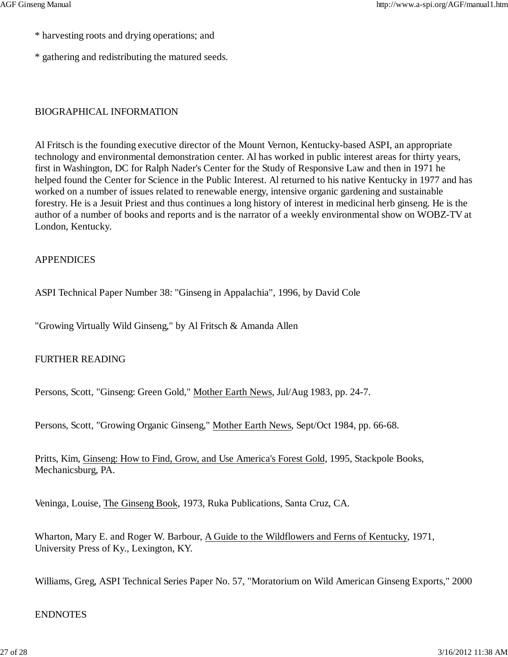- \* harvesting roots and drying operations; and
- \* gathering and redistributing the matured seeds.

# BIOGRAPHICAL INFORMATION

Al Fritsch is the founding executive director of the Mount Vernon, Kentucky-based ASPI, an appropriate technology and environmental demonstration center. Al has worked in public interest areas for thirty years, first in Washington, DC for Ralph Nader's Center for the Study of Responsive Law and then in 1971 he helped found the Center for Science in the Public Interest. Al returned to his native Kentucky in 1977 and has worked on a number of issues related to renewable energy, intensive organic gardening and sustainable forestry. He is a Jesuit Priest and thus continues a long history of interest in medicinal herb ginseng. He is the author of a number of books and reports and is the narrator of a weekly environmental show on WOBZ-TV at London, Kentucky.

#### APPENDICES

ASPI Technical Paper Number 38: "Ginseng in Appalachia", 1996, by David Cole

"Growing Virtually Wild Ginseng," by Al Fritsch & Amanda Allen

# FURTHER READING

Persons, Scott, "Ginseng: Green Gold," Mother Earth News, Jul/Aug 1983, pp. 24-7.

Persons, Scott, "Growing Organic Ginseng," Mother Earth News, Sept/Oct 1984, pp. 66-68.

Pritts, Kim, Ginseng: How to Find, Grow, and Use America's Forest Gold, 1995, Stackpole Books, Mechanicsburg, PA.

Veninga, Louise, The Ginseng Book, 1973, Ruka Publications, Santa Cruz, CA.

Wharton, Mary E. and Roger W. Barbour, A Guide to the Wildflowers and Ferns of Kentucky, 1971, University Press of Ky., Lexington, KY.

Williams, Greg, ASPI Technical Series Paper No. 57, "Moratorium on Wild American Ginseng Exports," 2000

#### ENDNOTES